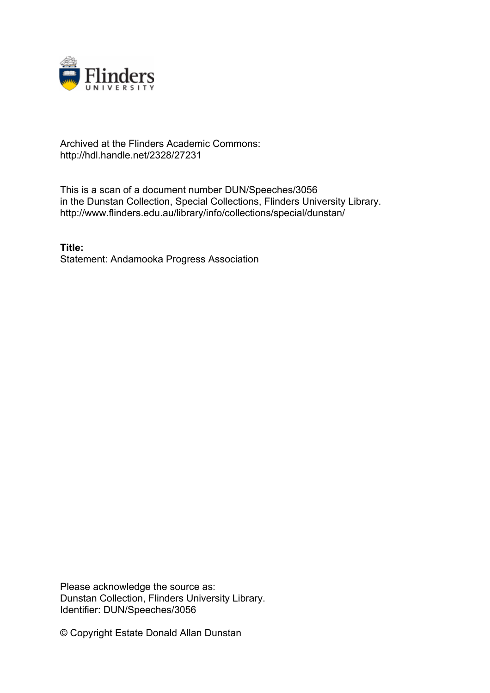

## Archived at the Flinders Academic Commons: http://hdl.handle.net/2328/27231

This is a scan of a document number DUN/Speeches/3056 in the Dunstan Collection, Special Collections, Flinders University Library. http://www.flinders.edu.au/library/info/collections/special/dunstan/

**Title:** Statement: Andamooka Progress Association

Please acknowledge the source as: Dunstan Collection, Flinders University Library. Identifier: DUN/Speeches/3056

© Copyright Estate Donald Allan Dunstan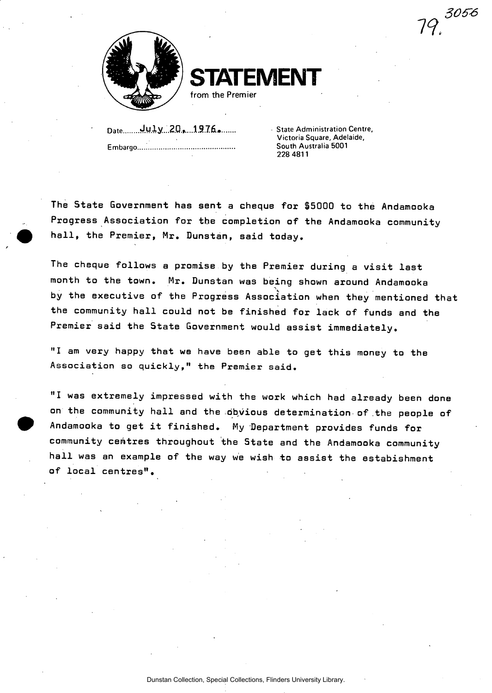79. <sup>3056</sup>



**TATEMENT** 

from the Premier

Date........**July...20, 1976....... Embargo** 

**State Administration Centre, Victoria Square, Adelaide, South Australia 5001 228 4811** 

**The State Government has sent a cheque for \$5000 to the Andamooka Progress Association for the completion of the Andamooka community hall, the Premier, Mr. Dunstan, said today.** 

**The cheque follows a promise by the Premier during a visit last month to the town. Mr. Dunstan was being shown around Andamooka by the executive of the Progress Association when they mentioned that the community hall could not be finished for lack of funds and the Premier said the State Government would assist immediately.** 

**"I am very happy that we have been able to get this money to the Association so quickly," the Premier said.** 

**"I was extremely impressed with the work which had already been done on the community hall and the obvious determination of the people of Andamooka to get it finished. My Department provides funds for community centres throughout the State and the Andamooka community hall was an example of the way we wish to assist the estabishment of local centres".**